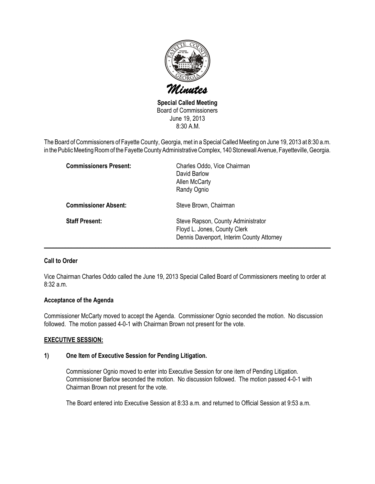

Special Called Meeting Board of Commissioners June 19, 2013 8:30 A.M.

The Board of Commissioners of Fayette County, Georgia, met in a Special Called Meeting on June 19, 2013 at 8:30 a.m. in the Public Meeting Room of the Fayette County Administrative Complex, 140 Stonewall Avenue, Fayetteville, Georgia.

| <b>Commissioners Present:</b> | Charles Oddo, Vice Chairman<br>David Barlow<br>Allen McCarty<br>Randy Ognio                                     |
|-------------------------------|-----------------------------------------------------------------------------------------------------------------|
| <b>Commissioner Absent:</b>   | Steve Brown, Chairman                                                                                           |
| <b>Staff Present:</b>         | Steve Rapson, County Administrator<br>Floyd L. Jones, County Clerk<br>Dennis Davenport, Interim County Attorney |

# Call to Order

Vice Chairman Charles Oddo called the June 19, 2013 Special Called Board of Commissioners meeting to order at 8:32 a.m.

## Acceptance of the Agenda

Commissioner McCarty moved to accept the Agenda. Commissioner Ognio seconded the motion. No discussion followed. The motion passed 4-0-1 with Chairman Brown not present for the vote.

## EXECUTIVE SESSION:

## 1) One Item of Executive Session for Pending Litigation.

Commissioner Ognio moved to enter into Executive Session for one item of Pending Litigation. Commissioner Barlow seconded the motion. No discussion followed. The motion passed 4-0-1 with Chairman Brown not present for the vote.

The Board entered into Executive Session at 8:33 a.m. and returned to Official Session at 9:53 a.m.